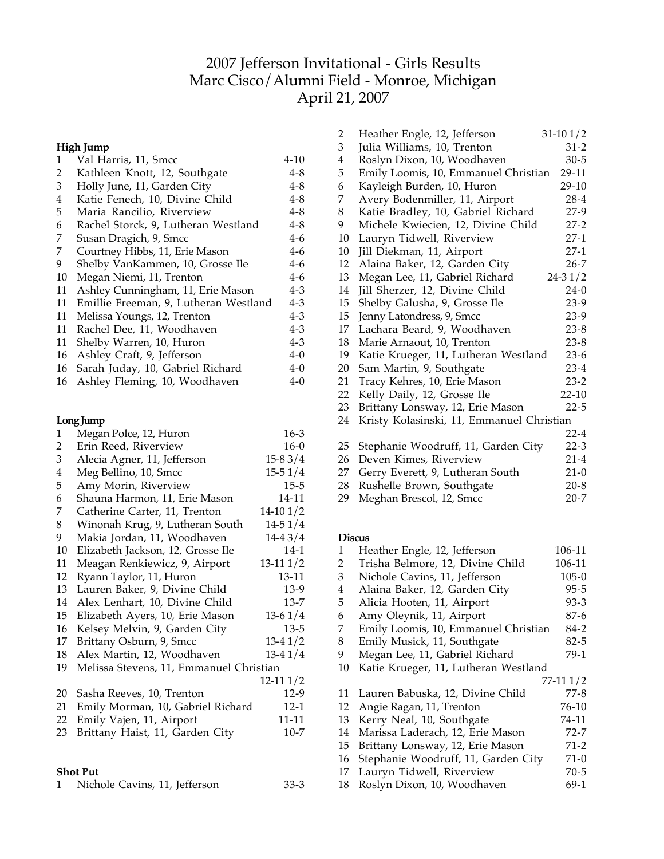# Jefferson Invitational - Girls Results Marc Cisco/Alumni Field - Monroe, Michigan April 21, 2007

|    | High Jump                             |         |
|----|---------------------------------------|---------|
| 1  | Val Harris, 11, Smcc                  | 4-10    |
| 2  | Kathleen Knott, 12, Southgate         | 4-8     |
| 3  | Holly June, 11, Garden City           | $4 - 8$ |
| 4  | Katie Fenech, 10, Divine Child        | $4 - 8$ |
| 5  | Maria Rancilio, Riverview             | 4-8     |
| 6  | Rachel Storck, 9, Lutheran Westland   | 4-8     |
| 7  | Susan Dragich, 9, Smcc                | 4-6     |
| 7  | Courtney Hibbs, 11, Erie Mason        | 4-6     |
| 9  | Shelby VanKammen, 10, Grosse Ile      | 4-6     |
| 10 | Megan Niemi, 11, Trenton              | 4-6     |
| 11 | Ashley Cunningham, 11, Erie Mason     | 4-3     |
| 11 | Emillie Freeman, 9, Lutheran Westland | 4-3     |
| 11 | Melissa Youngs, 12, Trenton           | 4-3     |
| 11 | Rachel Dee, 11, Woodhaven             | $4 - 3$ |
| 11 | Shelby Warren, 10, Huron              | 4-3     |
| 16 | Ashley Craft, 9, Jefferson            | 4-0     |
| 16 | Sarah Juday, 10, Gabriel Richard      | 4-0     |
| 16 | Ashley Fleming, 10, Woodhaven         | 4-0     |

# Long Jump

| 1              | Megan Polce, 12, Huron                  | $16-3$      |
|----------------|-----------------------------------------|-------------|
| $\overline{2}$ | Erin Reed, Riverview                    | $16-0$      |
| 3              | Alecia Agner, 11, Jefferson             | $15-83/4$   |
| 4              | Meg Bellino, 10, Smcc                   | $15-51/4$   |
| 5              | Amy Morin, Riverview                    | $15 - 5$    |
| 6              | Shauna Harmon, 11, Erie Mason           | 14-11       |
| 7              | Catherine Carter, 11, Trenton           | $14-101/2$  |
| 8              | Winonah Krug, 9, Lutheran South         | $14 - 51/4$ |
| 9              | Makia Jordan, 11, Woodhaven             | $14-43/4$   |
| 10             | Elizabeth Jackson, 12, Grosse Ile       | $14-1$      |
| 11             | Meagan Renkiewicz, 9, Airport           | $13-111/2$  |
| 12             | Ryann Taylor, 11, Huron                 | 13-11       |
| 13             | Lauren Baker, 9, Divine Child           | $13-9$      |
| 14             | Alex Lenhart, 10, Divine Child          | $13 - 7$    |
| 15             | Elizabeth Ayers, 10, Erie Mason         | $13-61/4$   |
| 16             | Kelsey Melvin, 9, Garden City           | $13-5$      |
| 17             | Brittany Osburn, 9, Smcc                | $13-41/2$   |
| 18             | Alex Martin, 12, Woodhaven              | $13-41/4$   |
| 19             | Melissa Stevens, 11, Emmanuel Christian |             |
|                |                                         | $12-111/2$  |
| 20             | Sasha Reeves, 10, Trenton               | 12-9        |
| 21             | Emily Morman, 10, Gabriel Richard       | $12-1$      |
| 22             | Emily Vajen, 11, Airport                | 11-11       |
| 23             | Brittany Haist, 11, Garden City         | $10 - 7$    |
|                |                                         |             |
|                |                                         |             |

# **Shot Put**

|  | Nichole Cavins, 11, Jefferson |  | 33-3 |
|--|-------------------------------|--|------|
|--|-------------------------------|--|------|

| 2              | Heather Engle, 12, Jefferson              | $31-101/2$  |
|----------------|-------------------------------------------|-------------|
| $\mathfrak{Z}$ | Julia Williams, 10, Trenton               | $31 - 2$    |
| 4              | Roslyn Dixon, 10, Woodhaven               | $30 - 5$    |
| 5              | Emily Loomis, 10, Emmanuel Christian      | 29-11       |
| 6              | Kayleigh Burden, 10, Huron                | 29-10       |
| 7              | Avery Bodenmiller, 11, Airport            | $28-4$      |
| 8              | Katie Bradley, 10, Gabriel Richard        | $27-9$      |
| 9              | Michele Kwiecien, 12, Divine Child        | $27 - 2$    |
| 10             | Lauryn Tidwell, Riverview                 | 27-1        |
| 10             | Jill Diekman, 11, Airport                 | 27-1        |
| 12             | Alaina Baker, 12, Garden City             | $26 - 7$    |
| 13             | Megan Lee, 11, Gabriel Richard            | $24 - 31/2$ |
| 14             | Jill Sherzer, 12, Divine Child            | $24-0$      |
| 15             | Shelby Galusha, 9, Grosse Ile             | $23-9$      |
| 15             | Jenny Latondress, 9, Smcc                 | $23-9$      |
| 17             | Lachara Beard, 9, Woodhaven               | $23 - 8$    |
| 18             | Marie Arnaout, 10, Trenton                | $23 - 8$    |
| 19             | Katie Krueger, 11, Lutheran Westland      | $23-6$      |
| 20             | Sam Martin, 9, Southgate                  | $23-4$      |
| 21             | Tracy Kehres, 10, Erie Mason              | $23 - 2$    |
| 22             | Kelly Daily, 12, Grosse Ile               | $22 - 10$   |
| 23             | Brittany Lonsway, 12, Erie Mason          | $22 - 5$    |
| 24             | Kristy Kolasinski, 11, Emmanuel Christian |             |
|                |                                           | $22 - 4$    |
| 25             | Stephanie Woodruff, 11, Garden City       | $22 - 3$    |
| 26             | Deven Kimes, Riverview                    | $21 - 4$    |
| 27             | Gerry Everett, 9, Lutheran South          | $21-0$      |
| 28             | Rushelle Brown, Southgate                 | $20-8$      |

# Meghan Brescol, 12, Smcc 20-7

### **Discus**

| 1  | Heather Engle, 12, Jefferson         | 106-11    |
|----|--------------------------------------|-----------|
| 2  | Trisha Belmore, 12, Divine Child     | 106-11    |
| 3  | Nichole Cavins, 11, Jefferson        | $105-0$   |
| 4  | Alaina Baker, 12, Garden City        | 95-5      |
| 5  | Alicia Hooten, 11, Airport           | 93-3      |
| 6  | Amy Oleynik, 11, Airport             | 87-6      |
| 7  | Emily Loomis, 10, Emmanuel Christian | 84-2      |
| 8  | Emily Musick, 11, Southgate          | 82-5      |
| 9  | Megan Lee, 11, Gabriel Richard       | 79-1      |
| 10 | Katie Krueger, 11, Lutheran Westland |           |
|    |                                      | 77-11 1/2 |
| 11 | Lauren Babuska, 12, Divine Child     | 77-8      |
| 12 | Angie Ragan, 11, Trenton             | 76-10     |
| 13 | Kerry Neal, 10, Southgate            | 74-11     |
| 14 | Marissa Laderach, 12, Erie Mason     | 72-7      |
| 15 | Brittany Lonsway, 12, Erie Mason     | $71-2$    |
| 16 | Stephanie Woodruff, 11, Garden City  | $71-0$    |
| 17 | Lauryn Tidwell, Riverview            | $70 - 5$  |
| 18 | Roslyn Dixon, 10, Woodhaven          | 69-1      |
|    |                                      |           |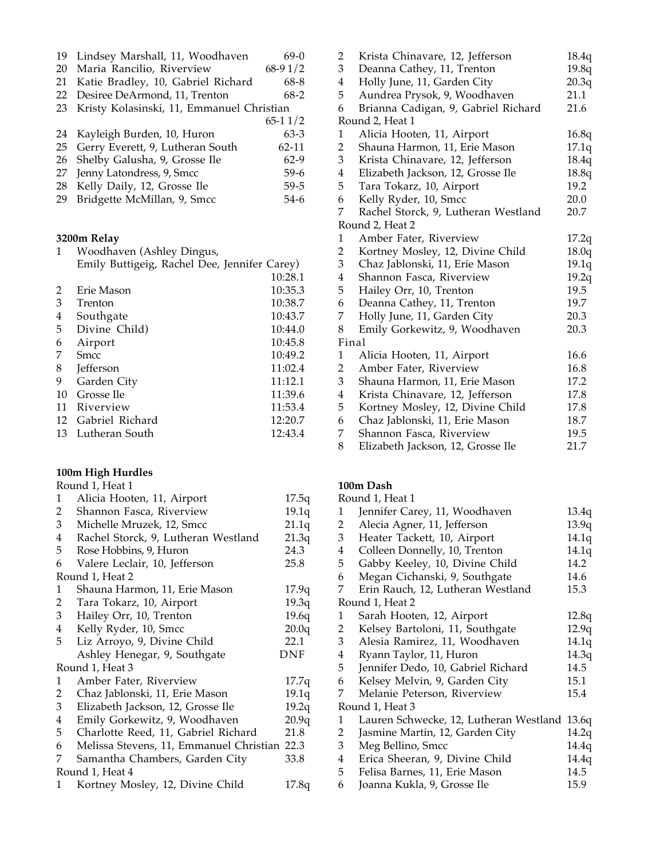|  |  |  |  | 19 Lindsey Marshall, 11, Woodhaven | $69-0$ |
|--|--|--|--|------------------------------------|--------|
|--|--|--|--|------------------------------------|--------|

- Maria Rancilio, Riverview 68-9 1/2
- Katie Bradley, 10, Gabriel Richard 68-8
- 22 Desiree DeArmond, 11, Trenton 68-2
- Kristy Kolasinski, 11, Emmanuel Christian  $6511^{10}$

|                                     | $65 - 11/2$ |
|-------------------------------------|-------------|
| 24 Kayleigh Burden, 10, Huron       | $63-3$      |
| 25 Gerry Everett, 9, Lutheran South | 62-11       |
| 26 Shelby Galusha, 9, Grosse Ile    | $62-9$      |
| 27 Jenny Latondress, 9, Smcc        | 59-6        |
| 28 Kelly Daily, 12, Grosse Ile      | $59-5$      |
| 29 Bridgette McMillan, 9, Smcc      | $54-6$      |

### **3200m Relay**

| Woodhaven (Ashley Dingus,                    |         |
|----------------------------------------------|---------|
| Emily Buttigeig, Rachel Dee, Jennifer Carey) |         |
|                                              | 10:28.1 |

| 2  | Erie Mason       | 10:35.3 |
|----|------------------|---------|
| 3  | Trenton          | 10:38.7 |
| 4  | Southgate        | 10:43.7 |
| 5  | Divine Child)    | 10:44.0 |
| 6  | Airport          | 10:45.8 |
| 7  | <b>Smcc</b>      | 10:49.2 |
| 8  | <b>Jefferson</b> | 11:02.4 |
| 9  | Garden City      | 11:12.1 |
| 10 | Grosse Ile       | 11:39.6 |
| 11 | Riverview        | 11:53.4 |
| 12 | Gabriel Richard  | 12:20.7 |
| 13 | Lutheran South   | 12:43.4 |

#### **100m High Hurdles**  $P_{\text{ound}}$  1,  $H_{\text{out}}$  1

|   | Round I, Heat I                              |       |
|---|----------------------------------------------|-------|
| 1 | Alicia Hooten, 11, Airport                   | 17.5q |
| 2 | Shannon Fasca, Riverview                     | 19.1q |
| 3 | Michelle Mruzek, 12, Smcc                    | 21.1q |
| 4 | Rachel Storck, 9, Lutheran Westland          | 21.3q |
| 5 | Rose Hobbins, 9, Huron                       | 24.3  |
| 6 | Valere Leclair, 10, Jefferson                | 25.8  |
|   | Round 1, Heat 2                              |       |
| 1 | Shauna Harmon, 11, Erie Mason                | 17.9q |
| 2 | Tara Tokarz, 10, Airport                     | 19.3q |
| 3 | Hailey Orr, 10, Trenton                      | 19.6q |
| 4 | Kelly Ryder, 10, Smcc                        | 20.0q |
| 5 | Liz Arroyo, 9, Divine Child                  | 22.1  |
|   | Ashley Henegar, 9, Southgate                 | DNF   |
|   | Round 1, Heat 3                              |       |
| 1 | Amber Fater, Riverview                       | 17.7q |
| 2 | Chaz Jablonski, 11, Erie Mason               | 19.1q |
| 3 | Elizabeth Jackson, 12, Grosse Ile            | 19.2q |
| 4 | Emily Gorkewitz, 9, Woodhaven                | 20.9q |
| 5 | Charlotte Reed, 11, Gabriel Richard          | 21.8  |
| 6 | Melissa Stevens, 11, Emmanuel Christian 22.3 |       |
| 7 | Samantha Chambers, Garden City               | 33.8  |
|   | Round 1, Heat 4                              |       |
| 1 | Kortney Mosley, 12, Divine Child             | 17.8q |
|   |                                              |       |

| 2                       | Krista Chinavare, 12, Jefferson     | 18.4q |
|-------------------------|-------------------------------------|-------|
| 3                       | Deanna Cathey, 11, Trenton          | 19.8q |
| $\overline{\mathbf{4}}$ | Holly June, 11, Garden City         | 20.3q |
| 5                       | Aundrea Prysok, 9, Woodhaven        | 21.1  |
| 6                       | Brianna Cadigan, 9, Gabriel Richard | 21.6  |
|                         | Round 2, Heat 1                     |       |
| $\mathbf{1}$            | Alicia Hooten, 11, Airport          | 16.8q |
| 2                       | Shauna Harmon, 11, Erie Mason       | 17.1q |
| 3                       | Krista Chinavare, 12, Jefferson     | 18.4q |
| $\overline{4}$          | Elizabeth Jackson, 12, Grosse Ile   | 18.8q |
| 5                       | Tara Tokarz, 10, Airport            | 19.2  |
| 6                       | Kelly Ryder, 10, Smcc               | 20.0  |
| 7                       | Rachel Storck, 9, Lutheran Westland | 20.7  |
|                         | Round 2, Heat 2                     |       |
| 1                       | Amber Fater, Riverview              | 17.2q |
| 2                       | Kortney Mosley, 12, Divine Child    | 18.0q |
| 3                       | Chaz Jablonski, 11, Erie Mason      | 19.1q |
| $\overline{4}$          | Shannon Fasca, Riverview            | 19.2q |
| 5                       | Hailey Orr, 10, Trenton             | 19.5  |
| 6                       | Deanna Cathey, 11, Trenton          | 19.7  |
| 7                       | Holly June, 11, Garden City         | 20.3  |
| 8                       | Emily Gorkewitz, 9, Woodhaven       | 20.3  |
|                         | Final                               |       |
| $\mathbf{1}$            | Alicia Hooten, 11, Airport          | 16.6  |
| 2                       | Amber Fater, Riverview              | 16.8  |
| 3                       | Shauna Harmon, 11, Erie Mason       | 17.2  |
| $\overline{\mathbf{4}}$ | Krista Chinavare, 12, Jefferson     | 17.8  |
| 5                       | Kortney Mosley, 12, Divine Child    | 17.8  |
| 6                       | Chaz Jablonski, 11, Erie Mason      | 18.7  |
| 7                       | Shannon Fasca, Riverview            | 19.5  |

8 Elizabeth Jackson, 12, Grosse Ile 21.7

# **100m Dash**

|                | Round 1, Heat 1                              |       |
|----------------|----------------------------------------------|-------|
| 1              | Jennifer Carey, 11, Woodhaven                | 13.4q |
| $\mathbf{2}$   | Alecia Agner, 11, Jefferson                  | 13.9q |
| 3 <sup>7</sup> | Heater Tackett, 10, Airport                  | 14.1q |
| $\overline{4}$ | Colleen Donnelly, 10, Trenton                | 14.1q |
| 5              | Gabby Keeley, 10, Divine Child               | 14.2  |
| 6              | Megan Cichanski, 9, Southgate                | 14.6  |
| 7              | Erin Rauch, 12, Lutheran Westland            | 15.3  |
|                | Round 1, Heat 2                              |       |
| 1              | Sarah Hooten, 12, Airport                    | 12.8q |
| $\overline{2}$ | Kelsey Bartoloni, 11, Southgate              | 12.9q |
| 3              | Alesia Ramirez, 11, Woodhaven                | 14.1q |
| 4              | Ryann Taylor, 11, Huron                      | 14.3q |
| 5              | Jennifer Dedo, 10, Gabriel Richard           | 14.5  |
| 6              | Kelsey Melvin, 9, Garden City                | 15.1  |
| 7              | Melanie Peterson, Riverview                  | 15.4  |
|                | Round 1, Heat 3                              |       |
| $\mathbf{1}$   | Lauren Schwecke, 12, Lutheran Westland 13.6q |       |
| $\overline{2}$ | Jasmine Martin, 12, Garden City              | 14.2q |
| $\mathfrak{Z}$ | Meg Bellino, Smcc                            | 14.4q |
| $\overline{4}$ | Erica Sheeran, 9, Divine Child               | 14.4q |
| 5              | Felisa Barnes, 11, Erie Mason                | 14.5  |
| 6              | Joanna Kukla, 9, Grosse Ile                  | 15.9  |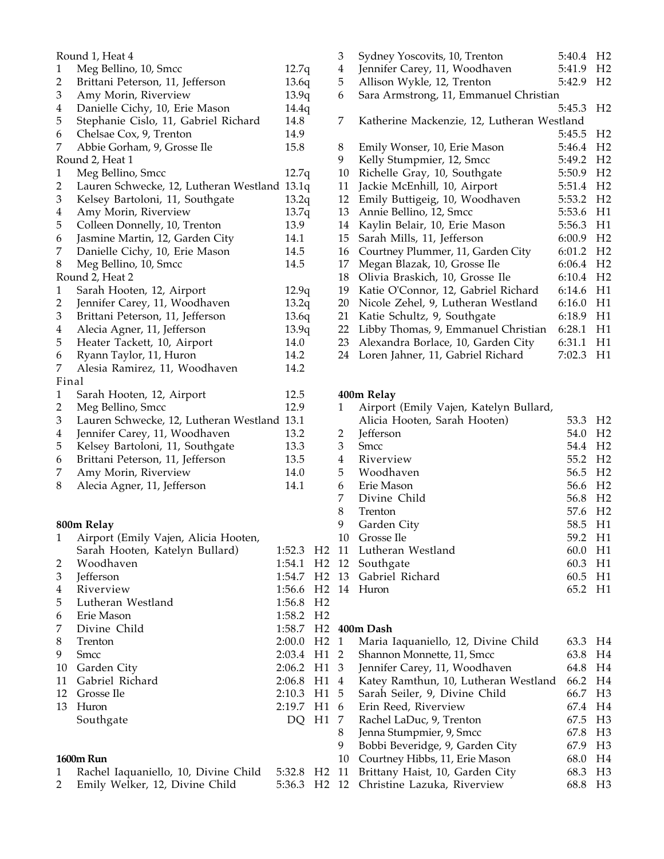|                             | Round 1, Heat 4                             |        |                | 3                       | ć                              |
|-----------------------------|---------------------------------------------|--------|----------------|-------------------------|--------------------------------|
| 1                           | Meg Bellino, 10, Smcc                       | 12.7q  |                | $\overline{\mathbf{4}}$ | J                              |
| $\overline{2}$              | Brittani Peterson, 11, Jefferson            | 13.6q  |                | 5                       | $\overline{1}$                 |
| $\ensuremath{\mathfrak{Z}}$ | Amy Morin, Riverview                        | 13.9q  |                | 6                       | ć                              |
| $\overline{\mathbf{4}}$     | Danielle Cichy, 10, Erie Mason              | 14.4q  |                |                         |                                |
| 5                           | Stephanie Cislo, 11, Gabriel Richard        | 14.8   |                | 7                       | l                              |
| 6                           | Chelsae Cox, 9, Trenton                     | 14.9   |                |                         |                                |
| 7                           | Abbie Gorham, 9, Grosse Ile                 | 15.8   |                | 8                       | J                              |
|                             | Round 2, Heat 1                             |        |                | 9                       | J                              |
| $\mathbf{1}$                | Meg Bellino, Smcc                           | 12.7q  |                | 10                      | $\mathbf{l}$                   |
| $\overline{2}$              | Lauren Schwecke, 12, Lutheran Westland      | 13.1q  |                | 11                      | $\big]$                        |
| $\ensuremath{\mathfrak{Z}}$ | Kelsey Bartoloni, 11, Southgate             | 13.2q  |                | 12                      | $\begin{array}{c} \end{array}$ |
| $\overline{\mathbf{4}}$     | Amy Morin, Riverview                        | 13.7q  |                | 13                      | $\overline{1}$                 |
| 5                           | Colleen Donnelly, 10, Trenton               | 13.9   |                | 14 1                    |                                |
| 6                           | Jasmine Martin, 12, Garden City             | 14.1   |                | 15                      | $\ddot{\cdot}$                 |
| 7                           | Danielle Cichy, 10, Erie Mason              | 14.5   |                | 16                      | $\overline{\phantom{a}}$       |
| $\,8\,$                     | Meg Bellino, 10, Smcc                       | 14.5   |                | 17 1                    |                                |
|                             | Round 2, Heat 2                             |        |                | 18                      | $\overline{\mathbf{a}}$        |
| $\mathbf{1}$                | Sarah Hooten, 12, Airport                   | 12.9q  |                | 19                      | $\begin{array}{c} \end{array}$ |
| $\overline{c}$              | Jennifer Carey, 11, Woodhaven               | 13.2q  |                | 20                      | $\mathbf{l}$                   |
| $\ensuremath{\mathfrak{Z}}$ | Brittani Peterson, 11, Jefferson            | 13.6q  |                | $21$ ]                  |                                |
| $\overline{\mathbf{4}}$     | Alecia Agner, 11, Jefferson                 | 13.9q  |                | 22 1                    |                                |
| 5                           | Heater Tackett, 10, Airport                 | 14.0   |                | 23 <sub>1</sub>         |                                |
| 6                           | Ryann Taylor, 11, Huron                     | 14.2   |                | 24 1                    |                                |
| 7                           | Alesia Ramirez, 11, Woodhaven               | 14.2   |                |                         |                                |
| Final                       |                                             |        |                |                         |                                |
| $\mathbf{1}$                | Sarah Hooten, 12, Airport                   | 12.5   |                | 400 <sub>n</sub>        |                                |
| $\overline{c}$              | Meg Bellino, Smcc                           | 12.9   |                | 1                       | $\overline{1}$                 |
| $\sqrt{3}$                  | Lauren Schwecke, 12, Lutheran Westland 13.1 |        |                |                         |                                |
| $\overline{\mathbf{4}}$     | Jennifer Carey, 11, Woodhaven               | 13.2   |                | $\overline{c}$          |                                |
| 5                           | Kelsey Bartoloni, 11, Southgate             | 13.3   |                | $\mathfrak{Z}$          | )<br>S                         |
| 6                           | Brittani Peterson, 11, Jefferson            | 13.5   |                | $\overline{\mathbf{4}}$ |                                |
| 7                           | Amy Morin, Riverview                        | 14.0   |                | 5                       | $\frac{1}{1}$                  |
| 8                           | Alecia Agner, 11, Jefferson                 | 14.1   |                | 6                       | $\mathbf{l}$                   |
|                             |                                             |        |                | 7                       |                                |
|                             |                                             |        |                | 8                       | $\frac{1}{2}$                  |
|                             | 800m Relay                                  |        |                | 9                       | $\overline{\mathbf{C}}$        |
| 1                           | Airport (Emily Vajen, Alicia Hooten,        |        |                | 10                      | $\mathbf \zeta$                |
|                             | Sarah Hooten, Katelyn Bullard)              | 1:52.3 | H <sub>2</sub> | 11                      | $\frac{1}{2}$                  |
| $\overline{\mathbf{c}}$     | Woodhaven                                   | 1:54.1 | H <sub>2</sub> | 12                      | ć                              |
| 3                           | Jefferson                                   | 1:54.7 | H <sub>2</sub> | 13                      | $\mathbf \zeta$                |
| $\overline{\mathbf{4}}$     | Riverview                                   | 1:56.6 | H <sub>2</sub> | 14                      | l                              |
| 5                           | Lutheran Westland                           | 1:56.8 | H <sub>2</sub> |                         |                                |
| 6                           | Erie Mason                                  | 1:58.2 | H <sub>2</sub> |                         |                                |
| 7                           | Divine Child                                | 1:58.7 | H <sub>2</sub> | 400 <sub>n</sub>        |                                |
| 8                           | Trenton                                     | 2:00.0 | H <sub>2</sub> | 1                       | I                              |
| 9                           | <b>Smcc</b>                                 | 2:03.4 | H1             | $\overline{2}$          | ć                              |
| 10                          | Garden City                                 | 2:06.2 | H1             | 3                       | J                              |
| 11                          | Gabriel Richard                             | 2:06.8 | H1             | 4                       | l                              |
| 12                          | Grosse Ile                                  | 2:10.3 | H1             | 5                       | ć                              |
| 13                          | Huron                                       | 2:19.7 | H1             | 6                       | l                              |
|                             | Southgate                                   | DQ     | H1             | 7                       | $\mathbf{l}$                   |
|                             |                                             |        |                | 8                       | J                              |
|                             |                                             |        |                | 9                       | I                              |
|                             | 1600m Run                                   |        |                | 10                      | $\mathbf$                      |
| 1                           | Rachel Iaquaniello, 10, Divine Child        | 5:32.8 | H <sub>2</sub> | 11                      | I                              |
| 2                           | Emily Welker, 12, Divine Child              | 5:36.3 | H <sub>2</sub> | 12                      | (                              |
|                             |                                             |        |                |                         |                                |

| 3  | Sydney Yoscovits, 10, Trenton              | 5:40.4 | H <sub>2</sub> |
|----|--------------------------------------------|--------|----------------|
| 4  | Jennifer Carey, 11, Woodhaven              | 5:41.9 | H <sub>2</sub> |
| 5  | Allison Wykle, 12, Trenton                 | 5:42.9 | H <sub>2</sub> |
| 6  | Sara Armstrong, 11, Emmanuel Christian     |        |                |
|    |                                            | 5:45.3 | H <sub>2</sub> |
| 7  | Katherine Mackenzie, 12, Lutheran Westland |        |                |
|    |                                            | 5:45.5 | H <sub>2</sub> |
| 8  | Emily Wonser, 10, Erie Mason               | 5:46.4 | H <sub>2</sub> |
| 9  | Kelly Stumpmier, 12, Smcc                  | 5:49.2 | H <sub>2</sub> |
| 10 | Richelle Gray, 10, Southgate               | 5:50.9 | H <sub>2</sub> |
| 11 | Jackie McEnhill, 10, Airport               | 5:51.4 | H <sub>2</sub> |
| 12 | Emily Buttigeig, 10, Woodhaven             | 5:53.2 | H <sub>2</sub> |
| 13 | Annie Bellino, 12, Smcc                    | 5:53.6 | H1             |
| 14 | Kaylin Belair, 10, Erie Mason              | 5:56.3 | H1             |
| 15 | Sarah Mills, 11, Jefferson                 | 6:00.9 | H <sub>2</sub> |
| 16 | Courtney Plummer, 11, Garden City          | 6:01.2 | H <sub>2</sub> |
| 17 | Megan Blazak, 10, Grosse Ile               | 6:06.4 | H <sub>2</sub> |
| 18 | Olivia Braskich, 10, Grosse Ile            | 6:10.4 | H <sub>2</sub> |
| 19 | Katie O'Connor, 12, Gabriel Richard        | 6:14.6 | H1             |
| 20 | Nicole Zehel, 9, Lutheran Westland         | 6:16.0 | H1             |
| 21 | Katie Schultz, 9, Southgate                | 6:18.9 | H1             |
| 22 | Libby Thomas, 9, Emmanuel Christian        | 6:28.1 | H1             |
| 23 | Alexandra Borlace, 10, Garden City         | 6:31.1 | H1             |
| 24 | Loren Jahner, 11, Gabriel Richard          | 7:02.3 | H1             |
|    |                                            |        |                |

# **400m Relay**

| 1  | Airport (Emily Vajen, Katelyn Bullard, |                     |                |
|----|----------------------------------------|---------------------|----------------|
|    | Alicia Hooten, Sarah Hooten)           | 53.3                | H <sub>2</sub> |
| 2  | <b>Jefferson</b>                       | 54.0                | H <sub>2</sub> |
| 3  | <b>Smcc</b>                            | 54.4                | H <sub>2</sub> |
| 4  | Riverview                              | 55.2                | H <sub>2</sub> |
| 5  | Woodhaven                              | 56.5 H <sub>2</sub> |                |
| 6  | Erie Mason                             | 56.6 H <sub>2</sub> |                |
| 7  | Divine Child                           | 56.8 H <sub>2</sub> |                |
| 8  | Trenton                                | 57.6 H <sub>2</sub> |                |
| 9  | Garden City                            | 58.5 H1             |                |
| 10 | Grosse Ile                             | 59.2                | - H1           |
| 11 | Lutheran Westland                      | 60.0                | H1             |
| 12 | Southgate                              | 60.3                | - H1           |
| 13 | Gabriel Richard                        | 60.5 H1             |                |
| 14 | Huron                                  | 65.2                | H1             |
|    |                                        |                     |                |

# **400m Dash**

| H2                |    | Maria Iaquaniello, 12, Divine Child           | 63.3 | H <sub>4</sub> |
|-------------------|----|-----------------------------------------------|------|----------------|
| H1                | 2  | Shannon Monnette, 11, Smcc                    | 63.8 | H4             |
| H1                | 3  | Jennifer Carey, 11, Woodhaven                 | 64.8 | H4             |
| H1                | 4  | Katey Ramthun, 10, Lutheran Westland          | 66.2 | H4             |
| H1                | 5  | Sarah Seiler, 9, Divine Child                 | 66.7 | H <sub>3</sub> |
| H1                | 6  | Erin Reed, Riverview                          | 67.4 | H4             |
| H1                |    | Rachel LaDuc, 9, Trenton                      | 67.5 | H <sub>3</sub> |
|                   | 8  | Jenna Stumpmier, 9, Smcc                      | 67.8 | H <sub>3</sub> |
|                   | 9  | Bobbi Beveridge, 9, Garden City               | 67.9 | H <sub>3</sub> |
|                   | 10 | Courtney Hibbs, 11, Erie Mason                | 68.0 | H4             |
| H <sub>2</sub> 11 |    | Brittany Haist, 10, Garden City               | 68.3 | H <sub>3</sub> |
|                   |    | H <sub>2</sub> 12 Christine Lazuka, Riverview | 68.8 | H <sub>3</sub> |
|                   |    |                                               |      |                |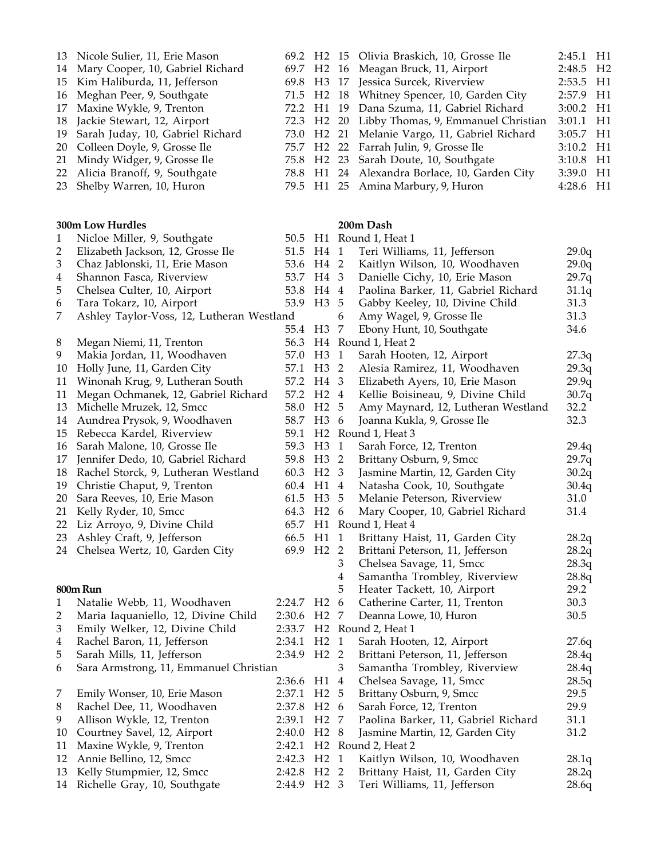| 13 | Nicole Sulier, 11, Erie Mason             |                         |                     |                | 69.2 H2 15 Olivia Braskich, 10, Grosse Ile | 2:45.1    | H1 |
|----|-------------------------------------------|-------------------------|---------------------|----------------|--------------------------------------------|-----------|----|
| 14 | Mary Cooper, 10, Gabriel Richard          |                         |                     |                | 69.7 H2 16 Meagan Bruck, 11, Airport       | 2:48.5 H2 |    |
| 15 | Kim Haliburda, 11, Jefferson              |                         |                     |                | 69.8 H3 17 Jessica Surcek, Riverview       | 2:53.5    | H1 |
| 16 | Meghan Peer, 9, Southgate                 |                         | 71.5 H2 18          |                | Whitney Spencer, 10, Garden City           | 2:57.9    | H1 |
| 17 | Maxine Wykle, 9, Trenton                  | 72.2 H1                 |                     | 19             | Dana Szuma, 11, Gabriel Richard            | 3:00.2    | H1 |
| 18 | Jackie Stewart, 12, Airport               |                         | 72.3 H <sub>2</sub> | 20             | Libby Thomas, 9, Emmanuel Christian        | 3:01.1    | H1 |
| 19 | Sarah Juday, 10, Gabriel Richard          |                         | 73.0 H2             | 21             | Melanie Vargo, 11, Gabriel Richard         | 3:05.7    | H1 |
| 20 | Colleen Doyle, 9, Grosse Ile              |                         | 75.7 H2 22          |                | Farrah Julin, 9, Grosse Ile                | 3:10.2    | H1 |
| 21 | Mindy Widger, 9, Grosse Ile               |                         | 75.8 H2             | 23             | Sarah Doute, 10, Southgate                 | 3:10.8    | H1 |
| 22 | Alicia Branoff, 9, Southgate              |                         | 78.8 H1             | 24             | Alexandra Borlace, 10, Garden City         | 3:39.0    | H1 |
| 23 | Shelby Warren, 10, Huron                  |                         | 79.5 H1 25          |                | Amina Marbury, 9, Huron                    | 4:28.6    | H1 |
|    |                                           |                         |                     |                |                                            |           |    |
|    | 300m Low Hurdles                          |                         |                     |                | 200m Dash                                  |           |    |
| 1  | Nicloe Miller, 9, Southgate               |                         |                     |                | 50.5 H1 Round 1, Heat 1                    |           |    |
| 2  | Elizabeth Jackson, 12, Grosse Ile         |                         | 51.5 H4 1           |                | Teri Williams, 11, Jefferson               | 29.0q     |    |
| 3  | Chaz Jablonski, 11, Erie Mason            |                         | 53.6 H4 2           |                | Kaitlyn Wilson, 10, Woodhaven              | 29.0q     |    |
| 4  | Shannon Fasca, Riverview                  |                         | 53.7 H4 3           |                | Danielle Cichy, 10, Erie Mason             | 29.7q     |    |
| 5  | Chelsea Culter, 10, Airport               |                         | 53.8 H4 4           |                | Paolina Barker, 11, Gabriel Richard        | 31.1q     |    |
| 6  | Tara Tokarz, 10, Airport                  |                         | 53.9 H3 5           |                | Gabby Keeley, 10, Divine Child             | 31.3      |    |
| 7  | Ashley Taylor-Voss, 12, Lutheran Westland |                         |                     | 6              | Amy Wagel, 9, Grosse Ile                   | 31.3      |    |
|    |                                           | 55.4 H3                 |                     | 7              | Ebony Hunt, 10, Southgate                  | 34.6      |    |
| 8  | Megan Niemi, 11, Trenton                  |                         |                     |                | 56.3 H4 Round 1, Heat 2                    |           |    |
| 9  | Makia Jordan, 11, Woodhaven               | 57.0 H3                 |                     | $\overline{1}$ | Sarah Hooten, 12, Airport                  | 27.3q     |    |
| 10 | Holly June, 11, Garden City               | 57.1                    | H3 2                |                | Alesia Ramirez, 11, Woodhaven              | 29.3q     |    |
| 11 | Winonah Krug, 9, Lutheran South           |                         | 57.2 H4 3           |                | Elizabeth Ayers, 10, Erie Mason            | 29.9q     |    |
| 11 | Megan Ochmanek, 12, Gabriel Richard       | 57.2                    | H <sub>2</sub> 4    |                | Kellie Boisineau, 9, Divine Child          | 30.7q     |    |
| 13 | Michelle Mruzek, 12, Smcc                 | 58.0                    | H <sub>2</sub> 5    |                | Amy Maynard, 12, Lutheran Westland         | 32.2      |    |
| 14 | Aundrea Prysok, 9, Woodhaven              |                         | 58.7 H3 6           |                | Joanna Kukla, 9, Grosse Ile                | 32.3      |    |
| 15 | Rebecca Kardel, Riverview                 | 59.1                    |                     |                | H <sub>2</sub> Round 1, Heat 3             |           |    |
| 16 | Sarah Malone, 10, Grosse Ile              |                         | 59.3 H3 1           |                | Sarah Force, 12, Trenton                   | 29.4q     |    |
| 17 | Jennifer Dedo, 10, Gabriel Richard        |                         | 59.8 H3 2           |                | Brittany Osburn, 9, Smcc                   | 29.7q     |    |
| 18 | Rachel Storck, 9, Lutheran Westland       | 60.3 H <sub>2</sub> 3   |                     |                | Jasmine Martin, 12, Garden City            | 30.2q     |    |
| 19 | Christie Chaput, 9, Trenton               | 60.4 H1 4               |                     |                | Natasha Cook, 10, Southgate                | 30.4q     |    |
| 20 | Sara Reeves, 10, Erie Mason               | 61.5 H3 5               |                     |                | Melanie Peterson, Riverview                | 31.0      |    |
| 21 | Kelly Ryder, 10, Smcc                     | 64.3 H2 6               |                     |                | Mary Cooper, 10, Gabriel Richard           | 31.4      |    |
|    | 22 Liz Arroyo, 9, Divine Child            |                         |                     |                | 65.7 H1 Round 1, Heat 4                    |           |    |
|    | 23 Ashley Craft, 9, Jefferson             | 66.5 H1 1               |                     |                | Brittany Haist, 11, Garden City            | 28.2q     |    |
|    | 24 Chelsea Wertz, 10, Garden City         | 69.9 H <sub>2</sub> 2   |                     |                | Brittani Peterson, 11, Jefferson           | 28.2q     |    |
|    |                                           |                         |                     | 3              | Chelsea Savage, 11, Smcc                   | 28.3q     |    |
|    |                                           |                         |                     | 4              | Samantha Trombley, Riverview               | 28.8q     |    |
|    | 800m Run                                  |                         |                     | 5              | Heater Tackett, 10, Airport                | 29.2      |    |
| 1  | Natalie Webb, 11, Woodhaven               | 2:24.7 H <sub>2</sub> 6 |                     |                | Catherine Carter, 11, Trenton              | 30.3      |    |
| 2  | Maria Iaquaniello, 12, Divine Child       | 2:30.6 H2 7             |                     |                | Deanna Lowe, 10, Huron                     | 30.5      |    |
| 3  | Emily Welker, 12, Divine Child            |                         |                     |                | 2:33.7 H2 Round 2, Heat 1                  |           |    |
| 4  | Rachel Baron, 11, Jefferson               | 2:34.1 H <sub>2</sub> 1 |                     |                | Sarah Hooten, 12, Airport                  | 27.6q     |    |
| 5  | Sarah Mills, 11, Jefferson                | 2:34.9 H <sub>2</sub> 2 |                     |                | Brittani Peterson, 11, Jefferson           | 28.4q     |    |
| 6  | Sara Armstrong, 11, Emmanuel Christian    |                         |                     | 3              | Samantha Trombley, Riverview               | 28.4q     |    |
|    |                                           | 2:36.6 H1 4             |                     |                | Chelsea Savage, 11, Smcc                   | 28.5q     |    |
| 7  | Emily Wonser, 10, Erie Mason              | 2:37.1 H2 5             |                     |                | Brittany Osburn, 9, Smcc                   | 29.5      |    |
| 8  | Rachel Dee, 11, Woodhaven                 | 2:37.8 H2 6             |                     |                | Sarah Force, 12, Trenton                   | 29.9      |    |
| 9  | Allison Wykle, 12, Trenton                | 2:39.1 H2 7             |                     |                | Paolina Barker, 11, Gabriel Richard        | 31.1      |    |
| 10 | Courtney Savel, 12, Airport               | 2:40.0 H <sub>2</sub> 8 |                     |                | Jasmine Martin, 12, Garden City            | 31.2      |    |
| 11 | Maxine Wykle, 9, Trenton                  |                         |                     |                | 2:42.1 H2 Round 2, Heat 2                  |           |    |
| 12 | Annie Bellino, 12, Smcc                   | 2:42.3 H2 1             |                     |                | Kaitlyn Wilson, 10, Woodhaven              | 28.1q     |    |
| 13 | Kelly Stumpmier, 12, Smcc                 | 2:42.8 H2 2             |                     |                | Brittany Haist, 11, Garden City            | 28.2q     |    |
| 14 | Richelle Gray, 10, Southgate              | 2:44.9 H2 3             |                     |                | Teri Williams, 11, Jefferson               | 28.6q     |    |